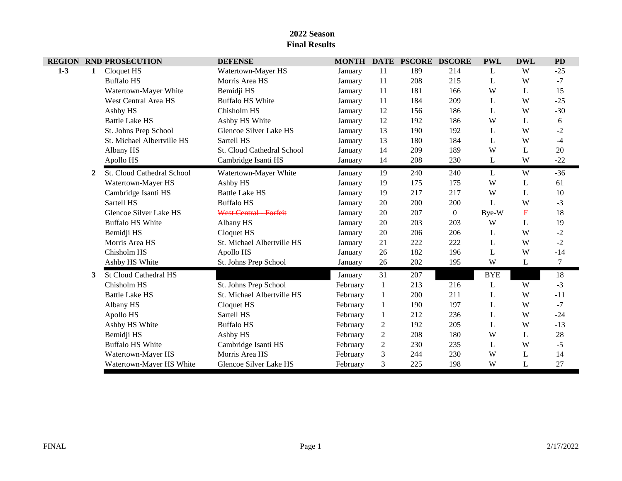|         |   | <b>REGION RND PROSECUTION</b> | <b>DEFENSE</b>                |          |                | MONTH DATE PSCORE DSCORE |                  | <b>PWL</b> | <b>DWL</b>  | <b>PD</b> |
|---------|---|-------------------------------|-------------------------------|----------|----------------|--------------------------|------------------|------------|-------------|-----------|
| $1 - 3$ | 1 | Cloquet HS                    | Watertown-Mayer HS            | January  | 11             | 189                      | 214              | L          | W           | $-25$     |
|         |   | <b>Buffalo HS</b>             | Morris Area HS                | January  | 11             | 208                      | 215              | L          | W           | $-7$      |
|         |   | Watertown-Mayer White         | Bemidji HS                    | January  | 11             | 181                      | 166              | W          | L           | 15        |
|         |   | West Central Area HS          | <b>Buffalo HS White</b>       | January  | 11             | 184                      | 209              | L          | W           | $-25$     |
|         |   | Ashby HS                      | Chisholm HS                   | January  | 12             | 156                      | 186              | L          | W           | $-30$     |
|         |   | <b>Battle Lake HS</b>         | Ashby HS White                | January  | 12             | 192                      | 186              | W          | L           | 6         |
|         |   | St. Johns Prep School         | Glencoe Silver Lake HS        | January  | 13             | 190                      | 192              | L          | W           | $-2$      |
|         |   | St. Michael Albertville HS    | Sartell HS                    | January  | 13             | 180                      | 184              | L          | W           | $-4$      |
|         |   | Albany HS                     | St. Cloud Cathedral School    | January  | 14             | 209                      | 189              | W          | L           | $20\,$    |
|         |   | Apollo HS                     | Cambridge Isanti HS           | January  | 14             | 208                      | 230              | L          | W           | $-22$     |
|         | 2 | St. Cloud Cathedral School    | Watertown-Mayer White         | January  | 19             | 240                      | 240              | L          | W           | $-36$     |
|         |   | Watertown-Mayer HS            | Ashby HS                      | January  | 19             | 175                      | 175              | W          | L           | 61        |
|         |   | Cambridge Isanti HS           | <b>Battle Lake HS</b>         | January  | 19             | 217                      | 217              | W          | L           | 10        |
|         |   | Sartell HS                    | <b>Buffalo HS</b>             | January  | 20             | 200                      | 200              | L          | W           | $-3$      |
|         |   | Glencoe Silver Lake HS        | <b>West Central - Forfeit</b> | January  | 20             | 207                      | $\boldsymbol{0}$ | Bye-W      | $\mathbf F$ | 18        |
|         |   | <b>Buffalo HS White</b>       | Albany HS                     | January  | 20             | 203                      | 203              | W          | L           | 19        |
|         |   | Bemidji HS                    | Cloquet HS                    | January  | 20             | 206                      | 206              | L          | W           | $-2$      |
|         |   | Morris Area HS                | St. Michael Albertville HS    | January  | 21             | 222                      | 222              | L          | W           | $-2$      |
|         |   | Chisholm HS                   | Apollo HS                     | January  | 26             | 182                      | 196              | L          | W           | $-14$     |
|         |   | Ashby HS White                | St. Johns Prep School         | January  | 26             | 202                      | 195              | W          | L           | $\tau$    |
|         | 3 | <b>St Cloud Cathedral HS</b>  |                               | January  | 31             | 207                      |                  | <b>BYE</b> |             | 18        |
|         |   | Chisholm HS                   | St. Johns Prep School         | February | $\mathbf{1}$   | 213                      | 216              | L          | W           | $-3$      |
|         |   | <b>Battle Lake HS</b>         | St. Michael Albertville HS    | February | 1              | 200                      | 211              | L          | W           | $-11$     |
|         |   | Albany HS                     | Cloquet HS                    | February | $\mathbf{1}$   | 190                      | 197              | L          | W           | $-7$      |
|         |   | Apollo HS                     | Sartell HS                    | February | $\mathbf{1}$   | 212                      | 236              | L          | W           | $-24$     |
|         |   | Ashby HS White                | <b>Buffalo HS</b>             | February | $\overline{2}$ | 192                      | 205              | L          | W           | $-13$     |
|         |   | Bemidji HS                    | Ashby HS                      | February | $\sqrt{2}$     | 208                      | 180              | W          | L           | $28\,$    |
|         |   | <b>Buffalo HS White</b>       | Cambridge Isanti HS           | February | $\overline{2}$ | 230                      | 235              | L          | W           | $-5$      |
|         |   | Watertown-Mayer HS            | Morris Area HS                | February | $\mathfrak{Z}$ | 244                      | 230              | W          | L           | 14        |
|         |   | Watertown-Mayer HS White      | Glencoe Silver Lake HS        | February | 3              | 225                      | 198              | W          | L           | 27        |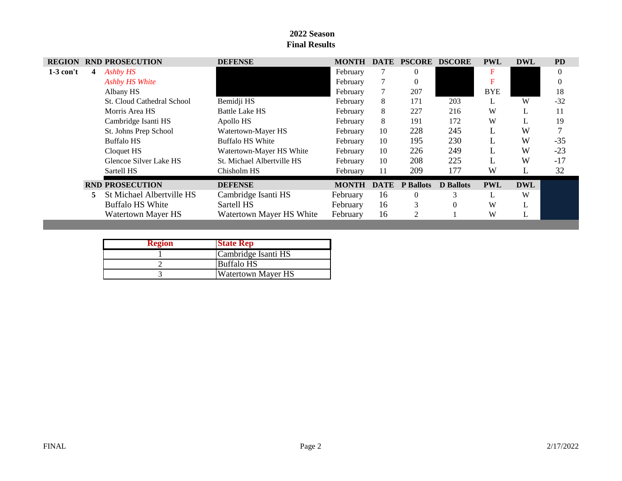| <b>REGION</b> |    | <b>RND PROSECUTION</b>            | <b>DEFENSE</b>             | <b>MONTH</b> | <b>DATE</b> | <b>PSCORE</b>    | <b>DSCORE</b>    | <b>PWL</b> | <b>DWL</b> | <b>PD</b> |
|---------------|----|-----------------------------------|----------------------------|--------------|-------------|------------------|------------------|------------|------------|-----------|
| $1-3$ con't   | 4  | Ashby HS                          |                            | February     |             | $\mathbf{0}$     |                  | F          |            | $\theta$  |
|               |    | Ashby HS White                    |                            | February     |             | 0                |                  |            |            | $\theta$  |
|               |    | Albany HS                         |                            | February     |             | 207              |                  | <b>BYE</b> |            | 18        |
|               |    | <b>St. Cloud Cathedral School</b> | Bemidji HS                 | February     | 8           | 171              | 203              |            | W          | $-32$     |
|               |    | Morris Area HS                    | <b>Battle Lake HS</b>      | February     | 8           | 227              | 216              | W          | L          | 11        |
|               |    | Cambridge Isanti HS               | Apollo HS                  | February     | 8           | 191              | 172              | W          | L          | 19        |
|               |    | St. Johns Prep School             | Watertown-Mayer HS         | February     | 10          | 228              | 245              |            | W          |           |
|               |    | Buffalo HS                        | Buffalo HS White           | February     | 10          | 195              | 230              |            | W          | $-35$     |
|               |    | Cloquet HS                        | Watertown-Mayer HS White   | February     | 10          | 226              | 249              |            | W          | $-23$     |
|               |    | Glencoe Silver Lake HS            | St. Michael Albertville HS | February     | 10          | 208              | 225              |            | W          | $-17$     |
|               |    | Sartell HS                        | Chisholm HS                | February     | 11          | 209              | 177              | W          |            | 32        |
|               |    | <b>RND PROSECUTION</b>            | <b>DEFENSE</b>             | <b>MONTH</b> | <b>DATE</b> | <b>P</b> Ballots | <b>D</b> Ballots | <b>PWL</b> | <b>DWL</b> |           |
|               | 5. | St Michael Albertville HS         | Cambridge Isanti HS        | February     | 16          | $\overline{0}$   | 3                |            | W          |           |
|               |    | <b>Buffalo HS White</b>           | Sartell HS                 | February     | 16          | 3                | $\Omega$         | W          | L          |           |
|               |    | Watertown Mayer HS                | Watertown Mayer HS White   | February     | 16          | 2                |                  | W          | L          |           |

| <b>Region</b> | <b>State Rep</b>          |
|---------------|---------------------------|
|               | Cambridge Isanti HS       |
|               | <b>Buffalo HS</b>         |
|               | <b>Watertown Mayer HS</b> |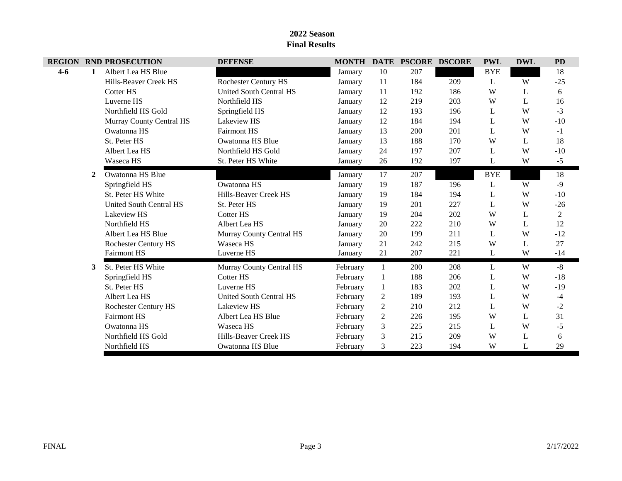|         |   | <b>REGION RND PROSECUTION</b> | <b>DEFENSE</b>                 |          |                | MONTH DATE PSCORE | <b>DSCORE</b> | <b>PWL</b> | <b>DWL</b> | <b>PD</b>      |
|---------|---|-------------------------------|--------------------------------|----------|----------------|-------------------|---------------|------------|------------|----------------|
| $4 - 6$ | 1 | Albert Lea HS Blue            |                                | January  | 10             | 207               |               | <b>BYE</b> |            | 18             |
|         |   | Hills-Beaver Creek HS         | <b>Rochester Century HS</b>    | January  | 11             | 184               | 209           | L          | W          | $-25$          |
|         |   | Cotter HS                     | <b>United South Central HS</b> | January  | 11             | 192               | 186           | W          | L          | 6              |
|         |   | Luverne HS                    | Northfield HS                  | January  | 12             | 219               | 203           | W          | L          | 16             |
|         |   | Northfield HS Gold            | Springfield HS                 | January  | 12             | 193               | 196           | L          | W          | $-3$           |
|         |   | Murray County Central HS      | <b>Lakeview HS</b>             | January  | 12             | 184               | 194           | L          | W          | $-10$          |
|         |   | Owatonna HS                   | <b>Fairmont HS</b>             | January  | 13             | 200               | 201           | L          | W          | $-1$           |
|         |   | St. Peter HS                  | Owatonna HS Blue               | January  | 13             | 188               | 170           | W          | L          | 18             |
|         |   | Albert Lea HS                 | Northfield HS Gold             | January  | 24             | 197               | 207           | L          | W          | $-10$          |
|         |   | Waseca HS                     | St. Peter HS White             | January  | 26             | 192               | 197           | L          | W          | $-5$           |
|         | 2 | Owatonna HS Blue              |                                | January  | 17             | 207               |               | <b>BYE</b> |            | 18             |
|         |   | Springfield HS                | Owatonna HS                    | January  | 19             | 187               | 196           | L          | W          | $-9$           |
|         |   | St. Peter HS White            | Hills-Beaver Creek HS          | January  | 19             | 184               | 194           | L          | W          | $-10$          |
|         |   | United South Central HS       | St. Peter HS                   | January  | 19             | 201               | 227           | L          | W          | $-26$          |
|         |   | Lakeview HS                   | Cotter HS                      | January  | 19             | 204               | 202           | W          | L          | $\overline{2}$ |
|         |   | Northfield HS                 | Albert Lea HS                  | January  | 20             | 222               | 210           | W          | L          | 12             |
|         |   | Albert Lea HS Blue            | Murray County Central HS       | January  | 20             | 199               | 211           | L          | W          | $-12$          |
|         |   | <b>Rochester Century HS</b>   | Waseca HS                      | January  | 21             | 242               | 215           | W          | L          | 27             |
|         |   | <b>Fairmont HS</b>            | Luverne HS                     | January  | 21             | 207               | 221           | L          | W          | $-14$          |
|         | 3 | St. Peter HS White            | Murray County Central HS       | February | 1              | 200               | 208           | L          | W          | $-8$           |
|         |   | Springfield HS                | Cotter HS                      | February |                | 188               | 206           | L          | W          | $-18$          |
|         |   | St. Peter HS                  | Luverne HS                     | February |                | 183               | 202           | L          | W          | $-19$          |
|         |   | Albert Lea HS                 | United South Central HS        | February | $\overline{c}$ | 189               | 193           | L          | W          | $-4$           |
|         |   | <b>Rochester Century HS</b>   | <b>Lakeview HS</b>             | February | $\overline{2}$ | 210               | 212           | L          | W          | $-2$           |
|         |   | <b>Fairmont HS</b>            | Albert Lea HS Blue             | February | $\overline{2}$ | 226               | 195           | W          | L          | 31             |
|         |   | Owatonna HS                   | Waseca HS                      | February | 3              | 225               | 215           | L          | W          | $-5$           |
|         |   | Northfield HS Gold            | Hills-Beaver Creek HS          | February | 3              | 215               | 209           | W          | L          | 6              |
|         |   | Northfield HS                 | Owatonna HS Blue               | February | 3              | 223               | 194           | W          | L          | 29             |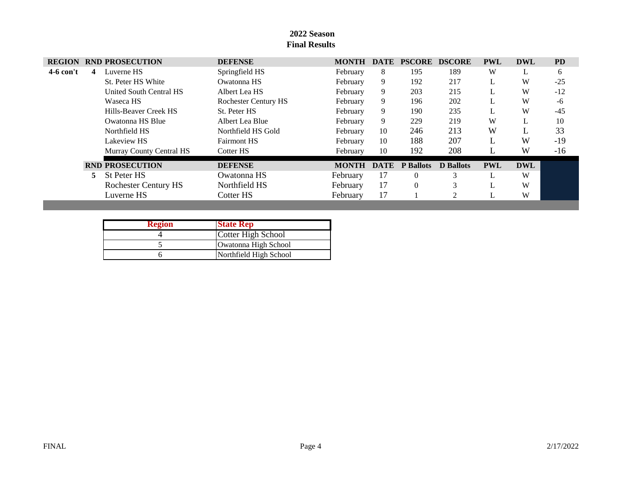| <b>REGION</b> |    | <b>RND PROSECUTION</b>      | <b>DEFENSE</b>              | <b>MONTH</b> | <b>DATE</b> | <b>PSCORE DSCORE</b> |                  | <b>PWL</b> | <b>DWL</b> | <b>PD</b> |
|---------------|----|-----------------------------|-----------------------------|--------------|-------------|----------------------|------------------|------------|------------|-----------|
| $4-6$ con't   | 4  | Luverne HS                  | Springfield HS              | February     | 8           | 195                  | 189              | W          | L          | 6         |
|               |    | St. Peter HS White          | Owatonna HS                 | February     | 9           | 192                  | 217              |            | W          | $-25$     |
|               |    | United South Central HS     | Albert Lea HS               | February     | 9           | 203                  | 215              |            | W          | $-12$     |
|               |    | Waseca HS                   | <b>Rochester Century HS</b> | February     | 9           | 196                  | 202              |            | W          | -6        |
|               |    | Hills-Beaver Creek HS       | St. Peter HS                | February     | 9           | 190                  | 235              |            | W          | $-45$     |
|               |    | Owatonna HS Blue            | Albert Lea Blue             | February     | 9           | 229                  | 219              | W          | L          | 10        |
|               |    | Northfield HS               | Northfield HS Gold          | February     | 10          | 246                  | 213              | W          |            | 33        |
|               |    | Lakeview HS                 | <b>Fairmont HS</b>          | February     | 10          | 188                  | 207              |            | W          | -19       |
|               |    | Murray County Central HS    | Cotter HS                   | February     | 10          | 192                  | 208              |            | W          | $-16$     |
|               |    | <b>RND PROSECUTION</b>      | <b>DEFENSE</b>              | <b>MONTH</b> | <b>DATE</b> | <b>P</b> Ballots     | <b>D</b> Ballots | <b>PWL</b> | <b>DWL</b> |           |
|               | 5. | St Peter HS                 | Owatonna HS                 | February     | 17          | $\Omega$             | 3                |            | W          |           |
|               |    | <b>Rochester Century HS</b> | Northfield HS               | February     | 17          | $\overline{0}$       | 3                |            | W          |           |
|               |    | Luverne HS                  | Cotter HS                   | February     | 17          |                      | っ                |            | W          |           |

| <b>Region</b> | <b>State Rep</b>       |
|---------------|------------------------|
|               | Cotter High School     |
|               | Owatonna High School   |
|               | Northfield High School |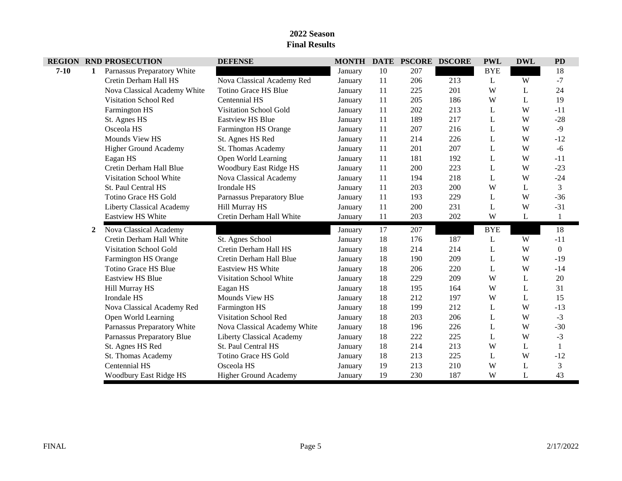| <b>REGION</b> |              | <b>RND PROSECUTION</b>           | <b>DEFENSE</b>                   |         |    | MONTH DATE PSCORE DSCORE |     | <b>PWL</b> | <b>DWL</b> | <b>PD</b>    |
|---------------|--------------|----------------------------------|----------------------------------|---------|----|--------------------------|-----|------------|------------|--------------|
| $7 - 10$      | 1            | Parnassus Preparatory White      |                                  | January | 10 | 207                      |     | <b>BYE</b> |            | 18           |
|               |              | Cretin Derham Hall HS            | Nova Classical Academy Red       | January | 11 | 206                      | 213 | L          | W          | $-7$         |
|               |              | Nova Classical Academy White     | Totino Grace HS Blue             | January | 11 | 225                      | 201 | W          | L          | 24           |
|               |              | Visitation School Red            | Centennial HS                    | January | 11 | 205                      | 186 | W          | L          | 19           |
|               |              | Farmington HS                    | Visitation School Gold           | January | 11 | 202                      | 213 | L          | W          | $-11$        |
|               |              | St. Agnes HS                     | <b>Eastview HS Blue</b>          | January | 11 | 189                      | 217 | L          | W          | $-28$        |
|               |              | Osceola HS                       | Farmington HS Orange             | January | 11 | 207                      | 216 | L          | W          | $-9$         |
|               |              | Mounds View HS                   | St. Agnes HS Red                 | January | 11 | 214                      | 226 | L          | W          | $-12$        |
|               |              | <b>Higher Ground Academy</b>     | <b>St. Thomas Academy</b>        | January | 11 | 201                      | 207 | L          | W          | $-6$         |
|               |              | Eagan HS                         | Open World Learning              | January | 11 | 181                      | 192 | L          | W          | $-11$        |
|               |              | Cretin Derham Hall Blue          | Woodbury East Ridge HS           | January | 11 | 200                      | 223 | L          | W          | $-23$        |
|               |              | Visitation School White          | Nova Classical Academy           | January | 11 | 194                      | 218 | L          | W          | $-24$        |
|               |              | St. Paul Central HS              | Irondale HS                      | January | 11 | 203                      | 200 | W          | L          | 3            |
|               |              | Totino Grace HS Gold             | Parnassus Preparatory Blue       | January | 11 | 193                      | 229 | L          | W          | $-36$        |
|               |              | <b>Liberty Classical Academy</b> | <b>Hill Murray HS</b>            | January | 11 | 200                      | 231 | L          | W          | $-31$        |
|               |              | Eastview HS White                | Cretin Derham Hall White         | January | 11 | 203                      | 202 | W          | L          | $\mathbf{1}$ |
|               | $\mathbf{2}$ | Nova Classical Academy           |                                  | January | 17 | 207                      |     | <b>BYE</b> |            | 18           |
|               |              | Cretin Derham Hall White         | St. Agnes School                 | January | 18 | 176                      | 187 | L          | W          | $-11$        |
|               |              | <b>Visitation School Gold</b>    | Cretin Derham Hall HS            | January | 18 | 214                      | 214 | L          | W          | $\Omega$     |
|               |              | Farmington HS Orange             | Cretin Derham Hall Blue          | January | 18 | 190                      | 209 | L          | W          | $-19$        |
|               |              | Totino Grace HS Blue             | <b>Eastview HS White</b>         | January | 18 | 206                      | 220 | L          | W          | $-14$        |
|               |              | <b>Eastview HS Blue</b>          | Visitation School White          | January | 18 | 229                      | 209 | W          | L          | 20           |
|               |              | Hill Murray HS                   | Eagan HS                         | January | 18 | 195                      | 164 | W          | L          | 31           |
|               |              | Irondale HS                      | Mounds View HS                   | January | 18 | 212                      | 197 | W          | L          | 15           |
|               |              | Nova Classical Academy Red       | Farmington HS                    | January | 18 | 199                      | 212 | L          | W          | $-13$        |
|               |              | Open World Learning              | Visitation School Red            | January | 18 | 203                      | 206 | L          | W          | $-3$         |
|               |              | Parnassus Preparatory White      | Nova Classical Academy White     | January | 18 | 196                      | 226 | L          | W          | $-30$        |
|               |              | Parnassus Preparatory Blue       | <b>Liberty Classical Academy</b> | January | 18 | 222                      | 225 | L          | W          | $-3$         |
|               |              | St. Agnes HS Red                 | St. Paul Central HS              | January | 18 | 214                      | 213 | W          | L          |              |
|               |              | St. Thomas Academy               | Totino Grace HS Gold             | January | 18 | 213                      | 225 | L          | W          | $-12$        |
|               |              | Centennial HS                    | Osceola HS                       | January | 19 | 213                      | 210 | W          | L          | 3            |
|               |              | Woodbury East Ridge HS           | <b>Higher Ground Academy</b>     | January | 19 | 230                      | 187 | W          | L          | 43           |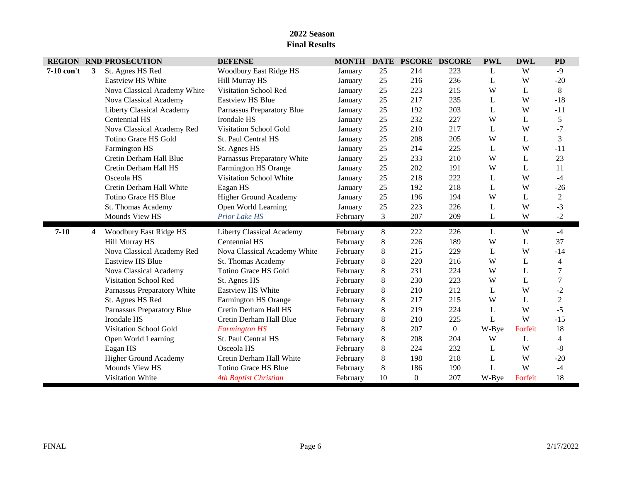|            |   | <b>REGION RND PROSECUTION</b>    | <b>DEFENSE</b>                   | <b>MONTH</b> | <b>DATE</b> | <b>PSCORE DSCORE</b> |                | <b>PWL</b> | <b>DWL</b> | <b>PD</b>      |
|------------|---|----------------------------------|----------------------------------|--------------|-------------|----------------------|----------------|------------|------------|----------------|
| 7-10 con't | 3 | St. Agnes HS Red                 | Woodbury East Ridge HS           | January      | 25          | 214                  | 223            | L          | W          | $-9$           |
|            |   | <b>Eastview HS White</b>         | Hill Murray HS                   | January      | 25          | 216                  | 236            | L          | W          | $-20$          |
|            |   | Nova Classical Academy White     | Visitation School Red            | January      | 25          | 223                  | 215            | W          | L          | 8              |
|            |   | Nova Classical Academy           | <b>Eastview HS Blue</b>          | January      | 25          | 217                  | 235            | L          | W          | $-18$          |
|            |   | <b>Liberty Classical Academy</b> | Parnassus Preparatory Blue       | January      | 25          | 192                  | 203            | L          | W          | $-11$          |
|            |   | Centennial HS                    | Irondale HS                      | January      | 25          | 232                  | 227            | W          | L          | 5              |
|            |   | Nova Classical Academy Red       | <b>Visitation School Gold</b>    | January      | 25          | 210                  | 217            | L          | W          | $-7$           |
|            |   | Totino Grace HS Gold             | St. Paul Central HS              | January      | 25          | 208                  | 205            | W          | L          | 3              |
|            |   | Farmington HS                    | St. Agnes HS                     | January      | 25          | 214                  | 225            | L          | W          | $-11$          |
|            |   | Cretin Derham Hall Blue          | Parnassus Preparatory White      | January      | 25          | 233                  | 210            | W          | L          | 23             |
|            |   | Cretin Derham Hall HS            | Farmington HS Orange             | January      | 25          | 202                  | 191            | W          | L          | 11             |
|            |   | Osceola HS                       | Visitation School White          | January      | 25          | 218                  | 222            | L          | W          | $-4$           |
|            |   | Cretin Derham Hall White         | Eagan HS                         | January      | 25          | 192                  | 218            | L          | W          | $-26$          |
|            |   | <b>Totino Grace HS Blue</b>      | <b>Higher Ground Academy</b>     | January      | 25          | 196                  | 194            | W          | L          | $\overline{2}$ |
|            |   | St. Thomas Academy               | Open World Learning              | January      | 25          | 223                  | 226            | L          | W          | $-3$           |
|            |   | Mounds View HS                   | Prior Lake HS                    | February     | 3           | 207                  | 209            | L          | W          | $-2$           |
| $7 - 10$   | 4 | Woodbury East Ridge HS           | <b>Liberty Classical Academy</b> | February     | 8           | 222                  | 226            | L          | W          | $-4$           |
|            |   | Hill Murray HS                   | Centennial HS                    | February     | 8           | 226                  | 189            | W          | L          | 37             |
|            |   | Nova Classical Academy Red       | Nova Classical Academy White     | February     | 8           | 215                  | 229            | L          | W          | $-14$          |
|            |   | <b>Eastview HS Blue</b>          | St. Thomas Academy               | February     | 8           | 220                  | 216            | W          | L          | 4              |
|            |   | Nova Classical Academy           | Totino Grace HS Gold             | February     | 8           | 231                  | 224            | W          | L          | 7              |
|            |   | <b>Visitation School Red</b>     | St. Agnes HS                     | February     | 8           | 230                  | 223            | W          | L          | $\overline{7}$ |
|            |   | Parnassus Preparatory White      | Eastview HS White                | February     | 8           | 210                  | 212            | L          | W          | $-2$           |
|            |   | St. Agnes HS Red                 | Farmington HS Orange             | February     | 8           | 217                  | 215            | W          | L          | $\overline{c}$ |
|            |   | Parnassus Preparatory Blue       | Cretin Derham Hall HS            | February     | 8           | 219                  | 224            | L          | W          | $-5$           |
|            |   | Irondale HS                      | Cretin Derham Hall Blue          | February     | 8           | 210                  | 225            | L          | W          | $-15$          |
|            |   | <b>Visitation School Gold</b>    | <b>Farmington HS</b>             | February     | 8           | 207                  | $\overline{0}$ | W-Bye      | Forfeit    | 18             |
|            |   | Open World Learning              | St. Paul Central HS              | February     | 8           | 208                  | 204            | W          | L          | 4              |
|            |   | Eagan HS                         | Osceola HS                       | February     | 8           | 224                  | 232            | L          | W          | $\mbox{-}8$    |
|            |   | <b>Higher Ground Academy</b>     | Cretin Derham Hall White         | February     | 8           | 198                  | 218            | L          | W          | $-20$          |
|            |   | Mounds View HS                   | <b>Totino Grace HS Blue</b>      | February     | 8           | 186                  | 190            | L          | W          | $-4$           |
|            |   | <b>Visitation White</b>          | <b>4th Baptist Christian</b>     | February     | 10          | $\mathbf{0}$         | 207            | W-Bye      | Forfeit    | 18             |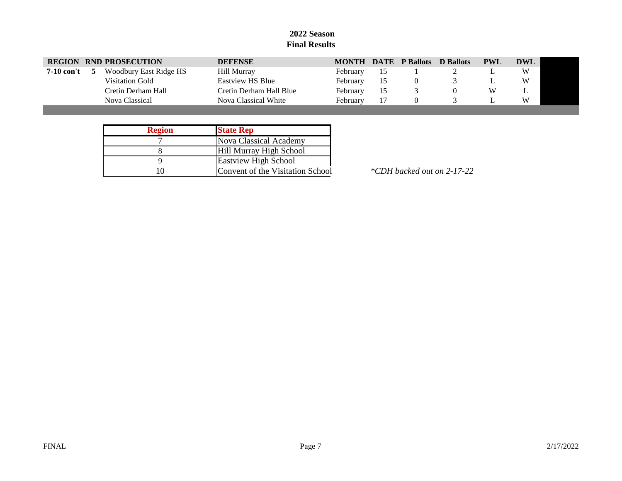|                   | <b>REGION RND PROSECUTION</b> | <b>DEFENSE</b>          |          |    | <b>MONTH DATE P Ballots</b> | D Ballots | <b>PWL</b> | DWL |
|-------------------|-------------------------------|-------------------------|----------|----|-----------------------------|-----------|------------|-----|
| <b>7-10 con't</b> | Woodbury East Ridge HS        | Hill Murray             | February | 15 |                             |           |            | W   |
|                   | Visitation Gold               | Eastyjew HS Blue        | February | 15 |                             |           |            | W   |
|                   | Cretin Derham Hall            | Cretin Derham Hall Blue | February | 15 |                             |           | W          | ∸   |
|                   | Nova Classical                | Nova Classical White    | February |    |                             |           |            | W   |
|                   |                               |                         |          |    |                             |           |            |     |

| <b>Region</b> | <b>State Rep</b>                 |
|---------------|----------------------------------|
|               | Nova Classical Academy           |
|               | Hill Murray High School          |
|               | <b>Eastview High School</b>      |
|               | Convent of the Visitation School |

10 Convent of the Visitation School *\*CDH backed out on 2-17-22*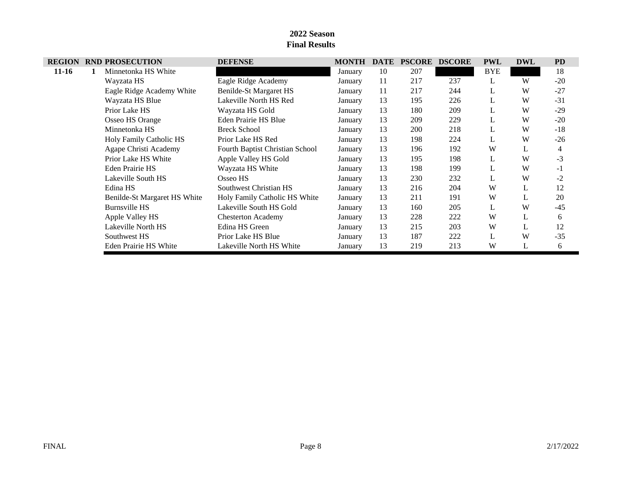| <b>REGION</b> |   | <b>RND PROSECUTION</b>       | <b>DEFENSE</b>                  | <b>MONTH</b> | <b>DATE</b> | <b>PSCORE</b> | <b>DSCORE</b> | <b>PWL</b> | <b>DWL</b> | <b>PD</b> |
|---------------|---|------------------------------|---------------------------------|--------------|-------------|---------------|---------------|------------|------------|-----------|
| $11-16$       | 1 | Minnetonka HS White          |                                 | January      | 10          | 207           |               | <b>BYE</b> |            | 18        |
|               |   | Wayzata HS                   | Eagle Ridge Academy             | January      | 11          | 217           | 237           | L          | W          | $-20$     |
|               |   | Eagle Ridge Academy White    | Benilde-St Margaret HS          | January      | 11          | 217           | 244           | L          | W          | $-27$     |
|               |   | Wayzata HS Blue              | Lakeville North HS Red          | January      | 13          | 195           | 226           | L          | W          | $-31$     |
|               |   | Prior Lake HS                | Wayzata HS Gold                 | January      | 13          | 180           | 209           | L          | W          | $-29$     |
|               |   | Osseo HS Orange              | Eden Prairie HS Blue            | January      | 13          | 209           | 229           |            | W          | $-20$     |
|               |   | Minnetonka HS                | <b>Breck School</b>             | January      | 13          | 200           | 218           | L          | W          | $-18$     |
|               |   | Holy Family Catholic HS      | Prior Lake HS Red               | January      | 13          | 198           | 224           | L          | W          | $-26$     |
|               |   | Agape Christi Academy        | Fourth Baptist Christian School | January      | 13          | 196           | 192           | W          | L          | 4         |
|               |   | Prior Lake HS White          | Apple Valley HS Gold            | January      | 13          | 195           | 198           | L          | W          | $-3$      |
|               |   | Eden Prairie HS              | Wayzata HS White                | January      | 13          | 198           | 199           | L          | W          | $-1$      |
|               |   | Lakeville South HS           | Osseo HS                        | January      | 13          | 230           | 232           | L          | W          | $-2$      |
|               |   | Edina HS                     | Southwest Christian HS          | January      | 13          | 216           | 204           | W          | L          | 12        |
|               |   | Benilde-St Margaret HS White | Holy Family Catholic HS White   | January      | 13          | 211           | 191           | W          | L          | 20        |
|               |   | <b>Burnsville HS</b>         | Lakeville South HS Gold         | January      | 13          | 160           | 205           | L          | W          | $-45$     |
|               |   | Apple Valley HS              | <b>Chesterton Academy</b>       | January      | 13          | 228           | 222           | W          | L          | 6         |
|               |   | Lakeville North HS           | Edina HS Green                  | January      | 13          | 215           | 203           | W          | L          | 12        |
|               |   | Southwest HS                 | Prior Lake HS Blue              | January      | 13          | 187           | 222           | L          | W          | $-35$     |
|               |   | Eden Prairie HS White        | Lakeville North HS White        | January      | 13          | 219           | 213           | W          | L          | 6         |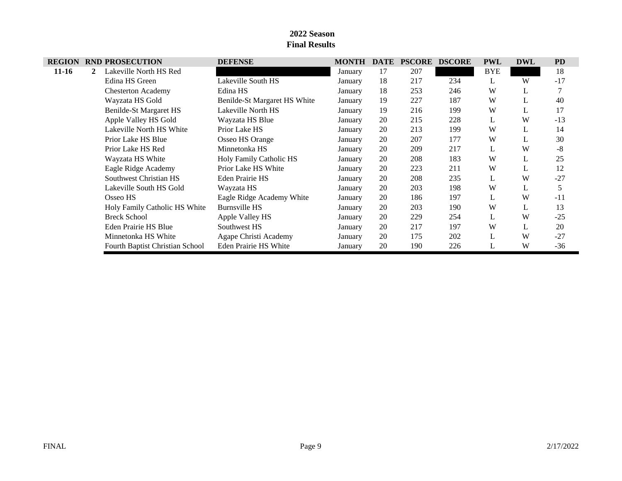| <b>REGION</b> |             | <b>RND PROSECUTION</b>          | <b>DEFENSE</b>               | <b>MONTH</b> | <b>DATE</b> | <b>PSCORE</b> | <b>DSCORE</b> | <b>PWL</b> | <b>DWL</b> | <b>PD</b> |
|---------------|-------------|---------------------------------|------------------------------|--------------|-------------|---------------|---------------|------------|------------|-----------|
| $11-16$       | $2^{\circ}$ | Lakeville North HS Red          |                              | January      | 17          | 207           |               | <b>BYE</b> |            | 18        |
|               |             | Edina HS Green                  | Lakeville South HS           | January      | 18          | 217           | 234           | L          | W          | $-17$     |
|               |             | <b>Chesterton Academy</b>       | Edina HS                     | January      | 18          | 253           | 246           | W          | L          |           |
|               |             | Wayzata HS Gold                 | Benilde-St Margaret HS White | January      | 19          | 227           | 187           | W          |            | 40        |
|               |             | Benilde-St Margaret HS          | Lakeville North HS           | January      | 19          | 216           | 199           | W          | L          | 17        |
|               |             | Apple Valley HS Gold            | Wayzata HS Blue              | January      | 20          | 215           | 228           | L          | W          | $-13$     |
|               |             | Lakeville North HS White        | Prior Lake HS                | January      | 20          | 213           | 199           | W          | L          | 14        |
|               |             | Prior Lake HS Blue              | Osseo HS Orange              | January      | 20          | 207           | 177           | W          |            | 30        |
|               |             | Prior Lake HS Red               | Minnetonka HS                | January      | 20          | 209           | 217           | L          | W          | $-8$      |
|               |             | Wayzata HS White                | Holy Family Catholic HS      | January      | 20          | 208           | 183           | W          | L          | 25        |
|               |             | Eagle Ridge Academy             | Prior Lake HS White          | January      | 20          | 223           | 211           | W          |            | 12        |
|               |             | Southwest Christian HS          | <b>Eden Prairie HS</b>       | January      | 20          | 208           | 235           | L          | W          | $-27$     |
|               |             | Lakeville South HS Gold         | Wayzata HS                   | January      | 20          | 203           | 198           | W          | L          | 5         |
|               |             | Osseo HS                        | Eagle Ridge Academy White    | January      | 20          | 186           | 197           | L          | W          | $-11$     |
|               |             | Holy Family Catholic HS White   | <b>Burnsville HS</b>         | January      | 20          | 203           | 190           | W          |            | 13        |
|               |             | <b>Breck School</b>             | Apple Valley HS              | January      | 20          | 229           | 254           | L          | W          | $-25$     |
|               |             | Eden Prairie HS Blue            | Southwest HS                 | January      | 20          | 217           | 197           | W          |            | 20        |
|               |             | Minnetonka HS White             | Agape Christi Academy        | January      | 20          | 175           | 202           | L          | W          | $-27$     |
|               |             | Fourth Baptist Christian School | Eden Prairie HS White        | January      | 20          | 190           | 226           | L          | W          | $-36$     |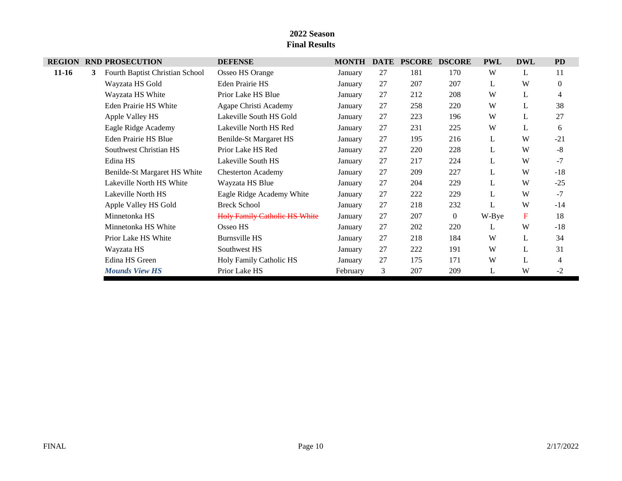| <b>REGION</b> |   | <b>RND PROSECUTION</b>          | <b>DEFENSE</b>                       | <b>MONTH</b> | <b>DATE</b> | <b>PSCORE</b> | <b>DSCORE</b>  | <b>PWL</b> | <b>DWL</b>  | <b>PD</b>      |
|---------------|---|---------------------------------|--------------------------------------|--------------|-------------|---------------|----------------|------------|-------------|----------------|
| $11 - 16$     | 3 | Fourth Baptist Christian School | Osseo HS Orange                      | January      | 27          | 181           | 170            | W          | L           | 11             |
|               |   | Wayzata HS Gold                 | Eden Prairie HS                      | January      | 27          | 207           | 207            | L          | W           | $\theta$       |
|               |   | Wayzata HS White                | Prior Lake HS Blue                   | January      | 27          | 212           | 208            | W          | L           | $\overline{4}$ |
|               |   | Eden Prairie HS White           | Agape Christi Academy                | January      | 27          | 258           | 220            | W          | L           | 38             |
|               |   | Apple Valley HS                 | Lakeville South HS Gold              | January      | 27          | 223           | 196            | W          | L           | 27             |
|               |   | Eagle Ridge Academy             | Lakeville North HS Red               | January      | 27          | 231           | 225            | W          | L           | 6              |
|               |   | Eden Prairie HS Blue            | Benilde-St Margaret HS               | January      | 27          | 195           | 216            | L          | W           | $-21$          |
|               |   | Southwest Christian HS          | Prior Lake HS Red                    | January      | 27          | 220           | 228            | L          | W           | $-8$           |
|               |   | Edina HS                        | Lakeville South HS                   | January      | 27          | 217           | 224            | L          | W           | $-7$           |
|               |   | Benilde-St Margaret HS White    | <b>Chesterton Academy</b>            | January      | 27          | 209           | 227            | L          | W           | $-18$          |
|               |   | Lakeville North HS White        | Wayzata HS Blue                      | January      | 27          | 204           | 229            | L          | W           | $-25$          |
|               |   | Lakeville North HS              | Eagle Ridge Academy White            | January      | 27          | 222           | 229            | L          | W           | $-7$           |
|               |   | Apple Valley HS Gold            | <b>Breck School</b>                  | January      | 27          | 218           | 232            | L          | W           | $-14$          |
|               |   | Minnetonka HS                   | <b>Holy Family Catholic HS White</b> | January      | 27          | 207           | $\overline{0}$ | W-Bye      | $\mathbf F$ | 18             |
|               |   | Minnetonka HS White             | Osseo HS                             | January      | 27          | 202           | 220            | L          | W           | $-18$          |
|               |   | Prior Lake HS White             | <b>Burnsville HS</b>                 | January      | 27          | 218           | 184            | W          | L           | 34             |
|               |   | Wayzata HS                      | Southwest HS                         | January      | 27          | 222           | 191            | W          | L           | 31             |
|               |   | Edina HS Green                  | Holy Family Catholic HS              | January      | 27          | 175           | 171            | W          | L           | 4              |
|               |   | <b>Mounds View HS</b>           | Prior Lake HS                        | February     | 3           | 207           | 209            | L          | W           | $-2$           |